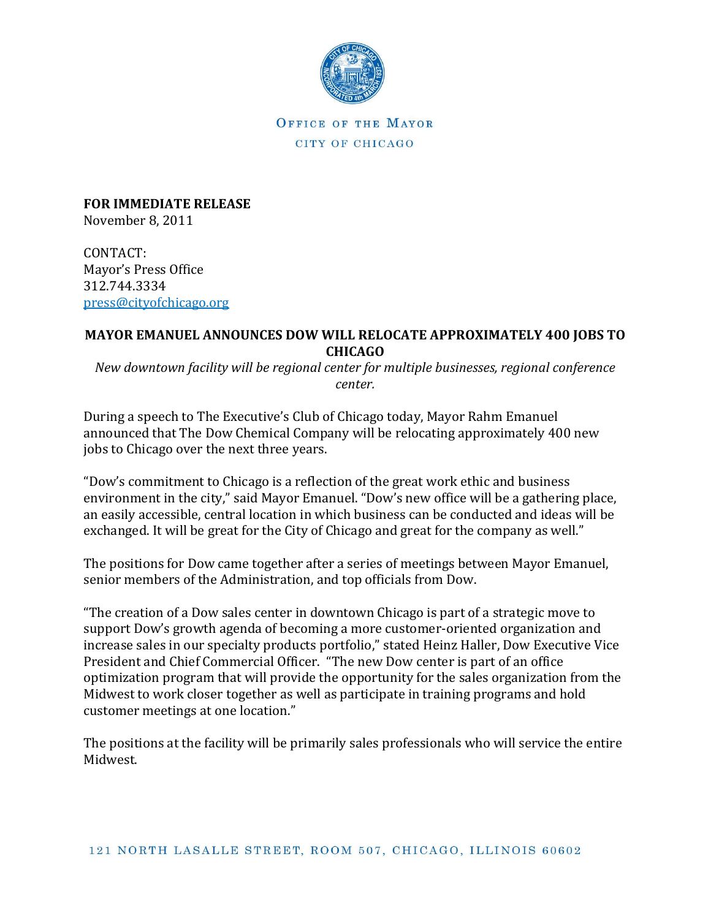

OFFICE OF THE MAYOR CITY OF CHICAGO

**FOR IMMEDIATE RELEASE** November 8, 2011

CONTACT: Mayor's Press Office 312.744.3334 [press@cityofchicago.org](mailto:press@cityofchicago.org)

## **MAYOR EMANUEL ANNOUNCES DOW WILL RELOCATE APPROXIMATELY 400 JOBS TO CHICAGO**

*New downtown facility will be regional center for multiple businesses, regional conference center.*

During a speech to The Executive's Club of Chicago today, Mayor Rahm Emanuel announced that The Dow Chemical Company will be relocating approximately 400 new jobs to Chicago over the next three years.

"Dow's commitment to Chicago is a reflection of the great work ethic and business environment in the city," said Mayor Emanuel. "Dow's new office will be a gathering place, an easily accessible, central location in which business can be conducted and ideas will be exchanged. It will be great for the City of Chicago and great for the company as well."

The positions for Dow came together after a series of meetings between Mayor Emanuel, senior members of the Administration, and top officials from Dow.

"The creation of a Dow sales center in downtown Chicago is part of a strategic move to support Dow's growth agenda of becoming a more customer-oriented organization and increase sales in our specialty products portfolio," stated Heinz Haller, Dow Executive Vice President and Chief Commercial Officer. "The new Dow center is part of an office optimization program that will provide the opportunity for the sales organization from the Midwest to work closer together as well as participate in training programs and hold customer meetings at one location."

The positions at the facility will be primarily sales professionals who will service the entire Midwest.